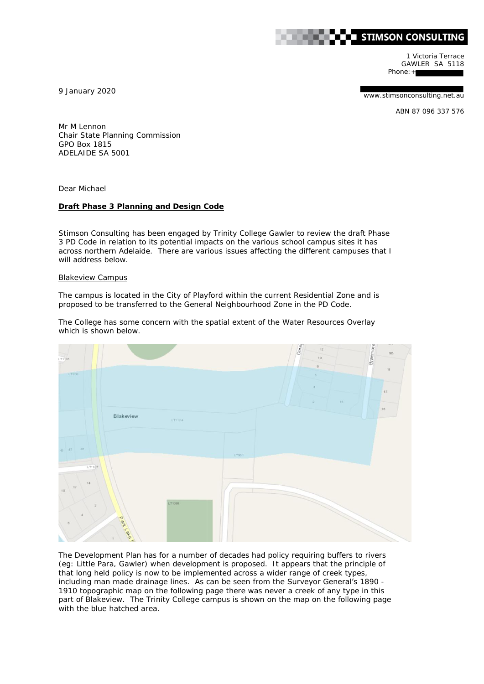

1 Victoria Terrace GAWLER SA 5118 Phone: +

9 January 2020

www.stimsonconsulting.net.au

ABN 87 096 337 576

Mr M Lennon Chair State Planning Commission GPO Box 1815 ADELAIDE SA 5001

Dear Michael

## **Draft Phase 3 Planning and Design Code**

Stimson Consulting has been engaged by Trinity College Gawler to review the draft Phase 3 PD Code in relation to its potential impacts on the various school campus sites it has across northern Adelaide. There are various issues affecting the different campuses that I will address below.

## Blakeview Campus

The campus is located in the City of Playford within the current Residential Zone and is proposed to be transferred to the General Neighbourhood Zone in the PD Code.

The College has some concern with the spatial extent of the Water Resources Overlay which is shown below.



The Development Plan has for a number of decades had policy requiring buffers to rivers (eg: Little Para, Gawler) when development is proposed. It appears that the principle of that long held policy is now to be implemented across a wider range of creek types, including man made drainage lines. As can be seen from the Surveyor General's 1890 -1910 topographic map on the following page there was never a creek of any type in this part of Blakeview. The Trinity College campus is shown on the map on the following page with the blue hatched area.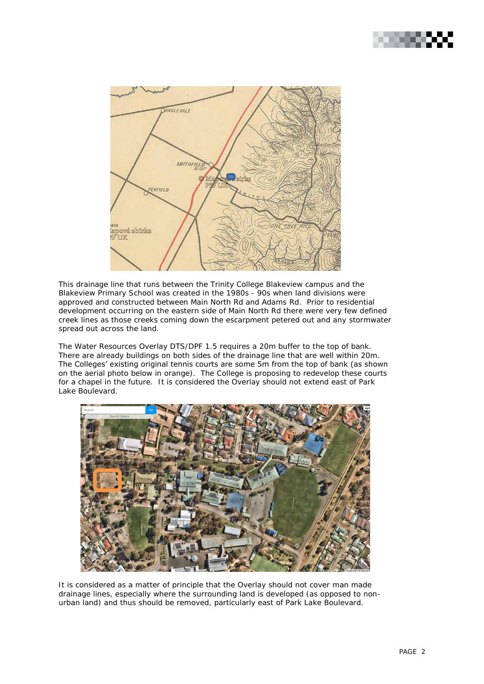



This drainage line that runs between the Trinity College Blakeview campus and the Blakeview Primary School was created in the 1980s - 90s when land divisions were approved and constructed between Main North Rd and Adams Rd. Prior to residential development occurring on the eastern side of Main North Rd there were very few defined creek lines as those creeks coming down the escarpment petered out and any stormwater spread out across the land.

The Water Resources Overlay DTS/DPF 1.5 requires a 20m buffer to the top of bank. There are already buildings on both sides of the drainage line that are well within 20m. The Colleges' existing original tennis courts are some 5m from the top of bank (as shown on the aerial photo below in orange). The College is proposing to redevelop these courts for a chapel in the future. It is considered the Overlay should not extend east of Park Lake Boulevard.



It is considered as a matter of principle that the Overlay should not cover man made drainage lines, especially where the surrounding land is developed (as opposed to nonurban land) and thus should be removed, particularly east of Park Lake Boulevard.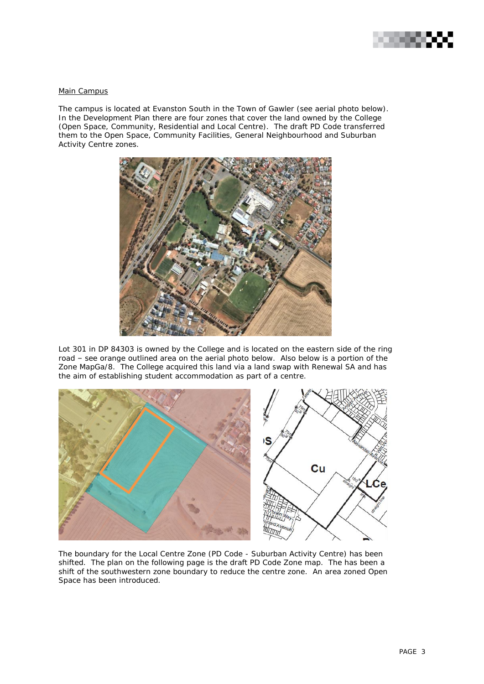

## Main Campus

The campus is located at Evanston South in the Town of Gawler (see aerial photo below). In the Development Plan there are four zones that cover the land owned by the College (Open Space, Community, Residential and Local Centre). The draft PD Code transferred them to the Open Space, Community Facilities, General Neighbourhood and Suburban Activity Centre zones.



Lot 301 in DP 84303 is owned by the College and is located on the eastern side of the ring road – see orange outlined area on the aerial photo below. Also below is a portion of the Zone MapGa/8. The College acquired this land via a land swap with Renewal SA and has the aim of establishing student accommodation as part of a centre.



The boundary for the Local Centre Zone (PD Code - Suburban Activity Centre) has been shifted. The plan on the following page is the draft PD Code Zone map. The has been a shift of the southwestern zone boundary to reduce the centre zone. An area zoned Open Space has been introduced.